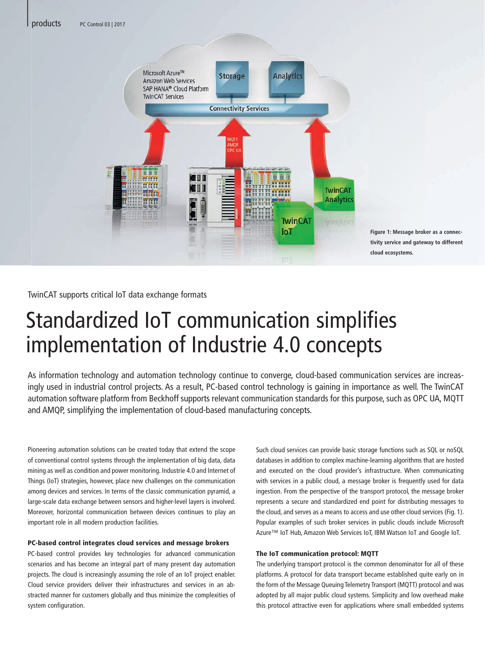|



**Figure 1: Message broker as a connectivity service and gateway to different cloud ecosystems.**

TwinCAT supports critical IoT data exchange formats

# Standardized IoT communication simplifies implementation of Industrie 4.0 concepts

As information technology and automation technology continue to converge, cloud-based communication services are increasingly used in industrial control projects. As a result, PC-based control technology is gaining in importance as well. The TwinCAT automation software platform from Beckhoff supports relevant communication standards for this purpose, such as OPC UA, MQTT and AMQP, simplifying the implementation of cloud-based manufacturing concepts.

Pioneering automation solutions can be created today that extend the scope of conventional control systems through the implementation of big data, data mining as well as condition and power monitoring. Industrie 4.0 and Internet of Things (IoT) strategies, however, place new challenges on the communication among devices and services. In terms of the classic communication pyramid, a large-scale data exchange between sensors and higher-level layers is involved. Moreover, horizontal communication between devices continues to play an important role in all modern production facilities.

#### PC-based control integrates cloud services and message brokers

PC-based control provides key technologies for advanced communication scenarios and has become an integral part of many present day automation projects. The cloud is increasingly assuming the role of an IoT project enabler. Cloud service providers deliver their infrastructures and services in an abstracted manner for customers globally and thus minimize the complexities of system configuration.

Such cloud services can provide basic storage functions such as SQL or noSQL databases in addition to complex machine-learning algorithms that are hosted and executed on the cloud provider's infrastructure. When communicating with services in a public cloud, a message broker is frequently used for data ingestion. From the perspective of the transport protocol, the message broker represents a secure and standardized end point for distributing messages to the cloud, and serves as a means to access and use other cloud services (Fig. 1). Popular examples of such broker services in public clouds include Microsoft Azure™ IoT Hub, Amazon Web Services IoT, IBM Watson IoT and Google IoT.

### The IoT communication protocol: MQTT

The underlying transport protocol is the common denominator for all of these platforms. A protocol for data transport became established quite early on in the form of the Message Queuing Telemetry Transport (MQTT) protocol and was adopted by all major public cloud systems. Simplicity and low overhead make this protocol attractive even for applications where small embedded systems